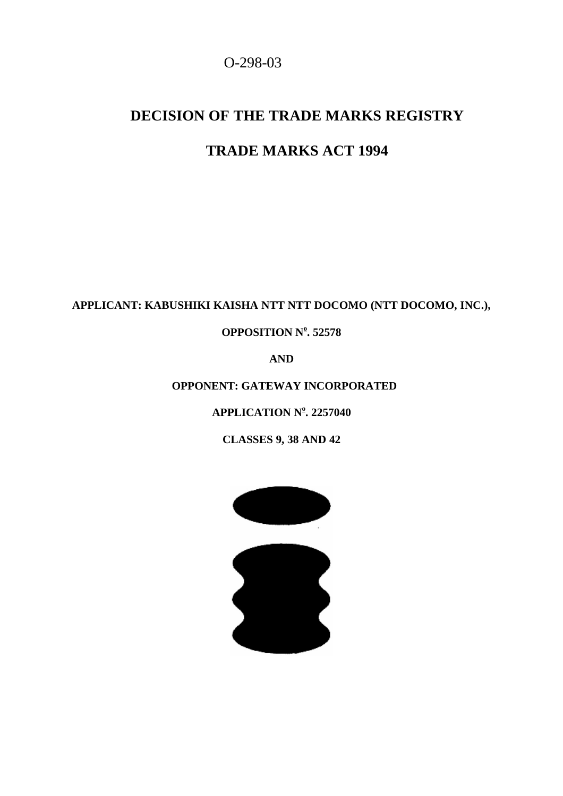## O-298-03

# **DECISION OF THE TRADE MARKS REGISTRY**

## **TRADE MARKS ACT 1994**

## **APPLICANT: KABUSHIKI KAISHA NTT NTT DOCOMO (NTT DOCOMO, INC.),**

**OPPOSITION N o . 52578**

**AND**

 **OPPONENT: GATEWAY INCORPORATED**

**APPLICATION N o . 2257040**

**CLASSES 9, 38 AND 42**

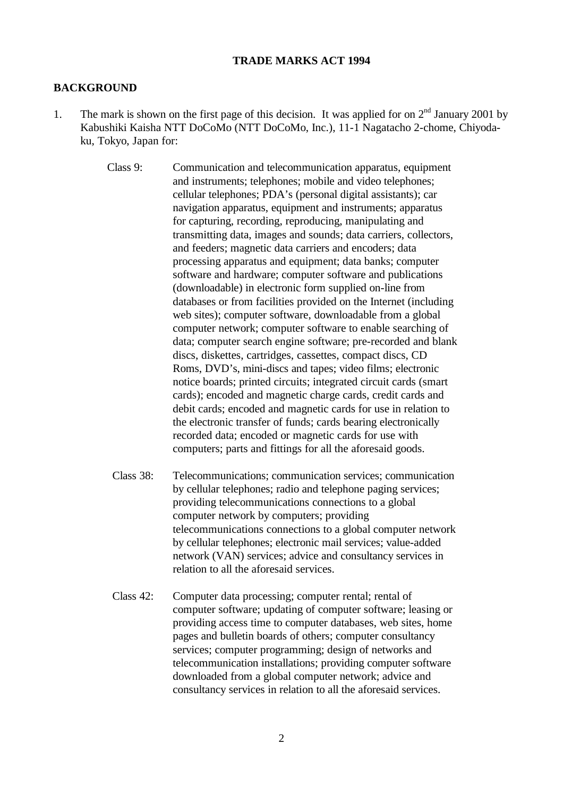#### **TRADE MARKS ACT 1994**

#### **BACKGROUND**

1. The mark is shown on the first page of this decision. It was applied for on  $2<sup>nd</sup>$  January 2001 by Kabushiki Kaisha NTT DoCoMo (NTT DoCoMo, Inc.), 11-1 Nagatacho 2-chome, Chiyodaku, Tokyo, Japan for:

> Class 9: Communication and telecommunication apparatus, equipment and instruments; telephones; mobile and video telephones; cellular telephones; PDA's (personal digital assistants); car navigation apparatus, equipment and instruments; apparatus for capturing, recording, reproducing, manipulating and transmitting data, images and sounds; data carriers, collectors, and feeders; magnetic data carriers and encoders; data processing apparatus and equipment; data banks; computer software and hardware; computer software and publications (downloadable) in electronic form supplied on-line from databases or from facilities provided on the Internet (including web sites); computer software, downloadable from a global computer network; computer software to enable searching of data; computer search engine software; pre-recorded and blank discs, diskettes, cartridges, cassettes, compact discs, CD Roms, DVD's, mini-discs and tapes; video films; electronic notice boards; printed circuits; integrated circuit cards (smart cards); encoded and magnetic charge cards, credit cards and debit cards; encoded and magnetic cards for use in relation to the electronic transfer of funds; cards bearing electronically recorded data; encoded or magnetic cards for use with computers; parts and fittings for all the aforesaid goods.

- Class 38: Telecommunications; communication services; communication by cellular telephones; radio and telephone paging services; providing telecommunications connections to a global computer network by computers; providing telecommunications connections to a global computer network by cellular telephones; electronic mail services; value-added network (VAN) services; advice and consultancy services in relation to all the aforesaid services.
- $Class 42$ : Computer data processing; computer rental; rental of computer software; updating of computer software; leasing or providing access time to computer databases, web sites, home pages and bulletin boards of others; computer consultancy services; computer programming; design of networks and telecommunication installations; providing computer software downloaded from a global computer network; advice and consultancy services in relation to all the aforesaid services.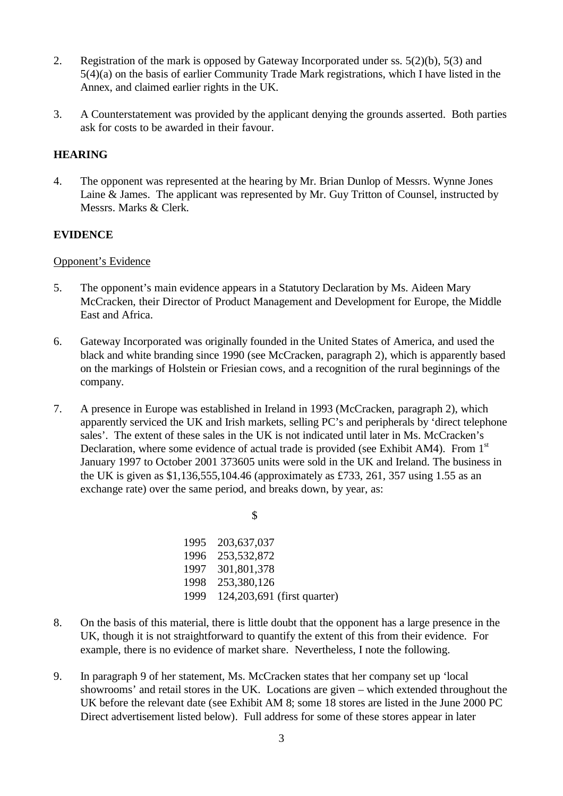- 2. Registration of the mark is opposed by Gateway Incorporated under ss. 5(2)(b), 5(3) and 5(4)(a) on the basis of earlier Community Trade Mark registrations, which I have listed in the Annex, and claimed earlier rights in the UK.
- 3. A Counterstatement was provided by the applicant denying the grounds asserted. Both parties ask for costs to be awarded in their favour.

### **HEARING**

4. The opponent was represented at the hearing by Mr. Brian Dunlop of Messrs. Wynne Jones Laine & James. The applicant was represented by Mr. Guy Tritton of Counsel, instructed by Messrs. Marks & Clerk.

#### **EVIDENCE**

#### Opponent's Evidence

- 5. The opponent's main evidence appears in a Statutory Declaration by Ms. Aideen Mary McCracken, their Director of Product Management and Development for Europe, the Middle East and Africa.
- 6. Gateway Incorporated was originally founded in the United States of America, and used the black and white branding since 1990 (see McCracken, paragraph 2), which is apparently based on the markings of Holstein or Friesian cows, and a recognition of the rural beginnings of the company.
- 7. A presence in Europe was established in Ireland in 1993 (McCracken, paragraph 2), which apparently serviced the UK and Irish markets, selling PC's and peripherals by 'direct telephone sales'. The extent of these sales in the UK is not indicated until later in Ms. McCracken's Declaration, where some evidence of actual trade is provided (see Exhibit AM4). From  $1<sup>st</sup>$ January 1997 to October 2001 373605 units were sold in the UK and Ireland. The business in the UK is given as \$1,136,555,104.46 (approximately as £733, 261, 357 using 1.55 as an exchange rate) over the same period, and breaks down, by year, as:

\$

| 1995 | 203,637,037                   |
|------|-------------------------------|
| 1996 | 253,532,872                   |
| 1997 | 301,801,378                   |
| 1998 | 253,380,126                   |
| 1999 | 124, 203, 691 (first quarter) |

- 8. On the basis of this material, there is little doubt that the opponent has a large presence in the UK, though it is not straightforward to quantify the extent of this from their evidence. For example, there is no evidence of market share. Nevertheless, I note the following.
- 9. In paragraph 9 of her statement, Ms. McCracken states that her company set up 'local showrooms' and retail stores in the UK. Locations are given – which extended throughout the UK before the relevant date (see Exhibit AM 8; some 18 stores are listed in the June 2000 PC Direct advertisement listed below). Full address for some of these stores appear in later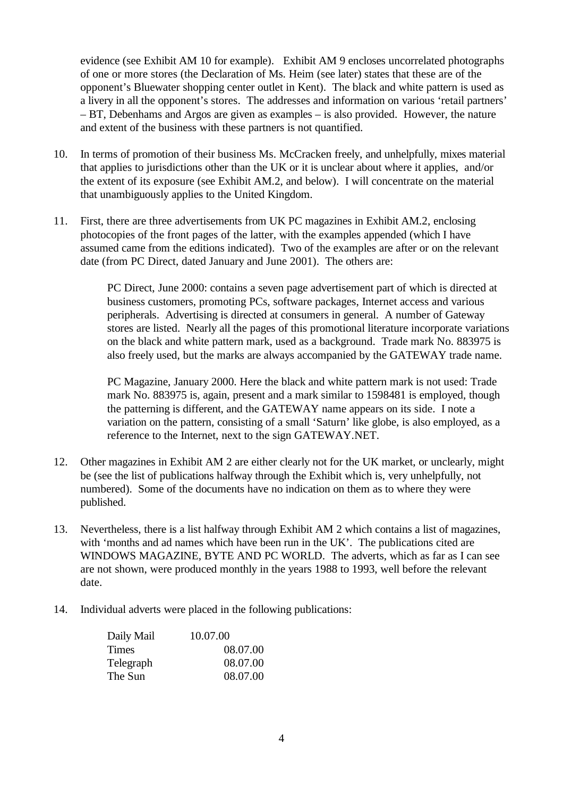evidence (see Exhibit AM 10 for example). Exhibit AM 9 encloses uncorrelated photographs of one or more stores (the Declaration of Ms. Heim (see later) states that these are of the opponent's Bluewater shopping center outlet in Kent). The black and white pattern is used as a livery in all the opponent's stores. The addresses and information on various 'retail partners' – BT, Debenhams and Argos are given as examples – is also provided. However, the nature and extent of the business with these partners is not quantified.

- 10. In terms of promotion of their business Ms. McCracken freely, and unhelpfully, mixes material that applies to jurisdictions other than the UK or it is unclear about where it applies, and/or the extent of its exposure (see Exhibit AM.2, and below). I will concentrate on the material that unambiguously applies to the United Kingdom.
- 11. First, there are three advertisements from UK PC magazines in Exhibit AM.2, enclosing photocopies of the front pages of the latter, with the examples appended (which I have assumed came from the editions indicated). Two of the examples are after or on the relevant date (from PC Direct, dated January and June 2001). The others are:

PC Direct, June 2000: contains a seven page advertisement part of which is directed at business customers, promoting PCs, software packages, Internet access and various peripherals. Advertising is directed at consumers in general. A number of Gateway stores are listed. Nearly all the pages of this promotional literature incorporate variations on the black and white pattern mark, used as a background. Trade mark No. 883975 is also freely used, but the marks are always accompanied by the GATEWAY trade name.

PC Magazine, January 2000. Here the black and white pattern mark is not used: Trade mark No. 883975 is, again, present and a mark similar to 1598481 is employed, though the patterning is different, and the GATEWAY name appears on its side. I note a variation on the pattern, consisting of a small 'Saturn' like globe, is also employed, as a reference to the Internet, next to the sign GATEWAY.NET.

- 12. Other magazines in Exhibit AM 2 are either clearly not for the UK market, or unclearly, might be (see the list of publications halfway through the Exhibit which is, very unhelpfully, not numbered). Some of the documents have no indication on them as to where they were published.
- 13. Nevertheless, there is a list halfway through Exhibit AM 2 which contains a list of magazines, with 'months and ad names which have been run in the UK'. The publications cited are WINDOWS MAGAZINE, BYTE AND PC WORLD. The adverts, which as far as I can see are not shown, were produced monthly in the years 1988 to 1993, well before the relevant date.
- 14. Individual adverts were placed in the following publications:

| Daily Mail | 10.07.00 |
|------------|----------|
| Times      | 08.07.00 |
| Telegraph  | 08.07.00 |
| The Sun    | 08.07.00 |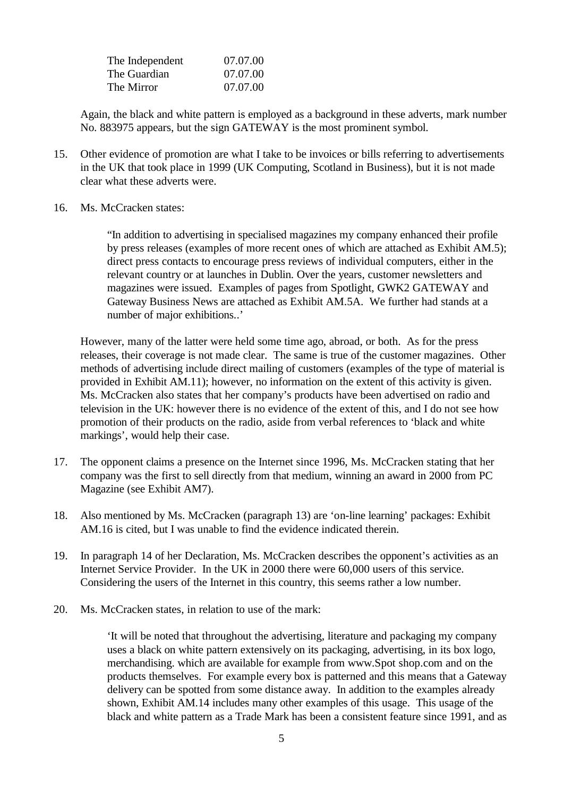| The Independent | 07.07.00 |
|-----------------|----------|
| The Guardian    | 07.07.00 |
| The Mirror      | 07.07.00 |

Again, the black and white pattern is employed as a background in these adverts, mark number No. 883975 appears, but the sign GATEWAY is the most prominent symbol.

- 15. Other evidence of promotion are what I take to be invoices or bills referring to advertisements in the UK that took place in 1999 (UK Computing, Scotland in Business), but it is not made clear what these adverts were.
- 16. Ms. McCracken states:

"In addition to advertising in specialised magazines my company enhanced their profile by press releases (examples of more recent ones of which are attached as Exhibit AM.5); direct press contacts to encourage press reviews of individual computers, either in the relevant country or at launches in Dublin. Over the years, customer newsletters and magazines were issued. Examples of pages from Spotlight, GWK2 GATEWAY and Gateway Business News are attached as Exhibit AM.5A. We further had stands at a number of major exhibitions..'

However, many of the latter were held some time ago, abroad, or both. As for the press releases, their coverage is not made clear. The same is true of the customer magazines. Other methods of advertising include direct mailing of customers (examples of the type of material is provided in Exhibit AM.11); however, no information on the extent of this activity is given. Ms. McCracken also states that her company's products have been advertised on radio and television in the UK: however there is no evidence of the extent of this, and I do not see how promotion of their products on the radio, aside from verbal references to 'black and white markings', would help their case.

- 17. The opponent claims a presence on the Internet since 1996, Ms. McCracken stating that her company was the first to sell directly from that medium, winning an award in 2000 from PC Magazine (see Exhibit AM7).
- 18. Also mentioned by Ms. McCracken (paragraph 13) are 'on-line learning' packages: Exhibit AM.16 is cited, but I was unable to find the evidence indicated therein.
- 19. In paragraph 14 of her Declaration, Ms. McCracken describes the opponent's activities as an Internet Service Provider. In the UK in 2000 there were 60,000 users of this service. Considering the users of the Internet in this country, this seems rather a low number.
- 20. Ms. McCracken states, in relation to use of the mark:

'It will be noted that throughout the advertising, literature and packaging my company uses a black on white pattern extensively on its packaging, advertising, in its box logo, merchandising. which are available for example from www.Spot shop.com and on the products themselves. For example every box is patterned and this means that a Gateway delivery can be spotted from some distance away. In addition to the examples already shown, Exhibit AM.14 includes many other examples of this usage. This usage of the black and white pattern as a Trade Mark has been a consistent feature since 1991, and as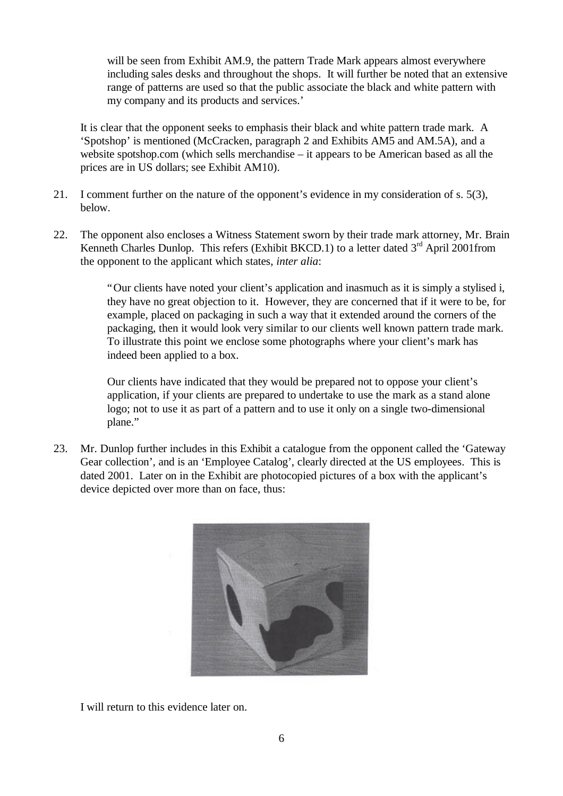will be seen from Exhibit AM.9, the pattern Trade Mark appears almost everywhere including sales desks and throughout the shops. It will further be noted that an extensive range of patterns are used so that the public associate the black and white pattern with my company and its products and services.'

It is clear that the opponent seeks to emphasis their black and white pattern trade mark. A 'Spotshop' is mentioned (McCracken, paragraph 2 and Exhibits AM5 and AM.5A), and a website spotshop.com (which sells merchandise – it appears to be American based as all the prices are in US dollars; see Exhibit AM10).

- 21. I comment further on the nature of the opponent's evidence in my consideration of s. 5(3), below.
- 22. The opponent also encloses a Witness Statement sworn by their trade mark attorney, Mr. Brain Kenneth Charles Dunlop. This refers (Exhibit BKCD.1) to a letter dated  $3<sup>rd</sup>$  April 2001from the opponent to the applicant which states, *inter alia*:

"Our clients have noted your client's application and inasmuch as it is simply a stylised i, they have no great objection to it. However, they are concerned that if it were to be, for example, placed on packaging in such a way that it extended around the corners of the packaging, then it would look very similar to our clients well known pattern trade mark. To illustrate this point we enclose some photographs where your client's mark has indeed been applied to a box.

Our clients have indicated that they would be prepared not to oppose your client's application, if your clients are prepared to undertake to use the mark as a stand alone logo; not to use it as part of a pattern and to use it only on a single two-dimensional plane."

23. Mr. Dunlop further includes in this Exhibit a catalogue from the opponent called the 'Gateway Gear collection', and is an 'Employee Catalog', clearly directed at the US employees. This is dated 2001. Later on in the Exhibit are photocopied pictures of a box with the applicant's device depicted over more than on face, thus:



I will return to this evidence later on.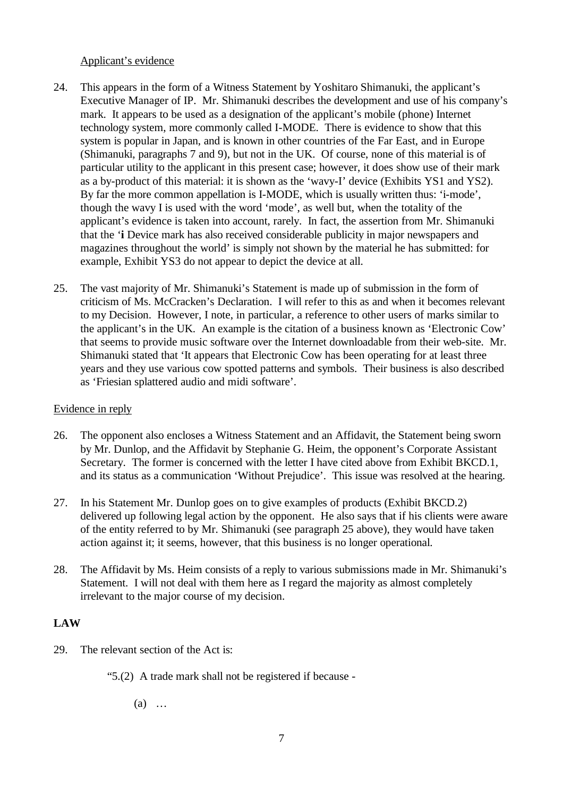#### Applicant's evidence

- 24. This appears in the form of a Witness Statement by Yoshitaro Shimanuki, the applicant's Executive Manager of IP. Mr. Shimanuki describes the development and use of his company's mark. It appears to be used as a designation of the applicant's mobile (phone) Internet technology system, more commonly called I-MODE. There is evidence to show that this system is popular in Japan, and is known in other countries of the Far East, and in Europe (Shimanuki, paragraphs 7 and 9), but not in the UK. Of course, none of this material is of particular utility to the applicant in this present case; however, it does show use of their mark as a by-product of this material: it is shown as the 'wavy-I' device (Exhibits YS1 and YS2). By far the more common appellation is I-MODE, which is usually written thus: 'i-mode', though the wavy I is used with the word 'mode', as well but, when the totality of the applicant's evidence is taken into account, rarely. In fact, the assertion from Mr. Shimanuki that the '**i** Device mark has also received considerable publicity in major newspapers and magazines throughout the world' is simply not shown by the material he has submitted: for example, Exhibit YS3 do not appear to depict the device at all.
- 25. The vast majority of Mr. Shimanuki's Statement is made up of submission in the form of criticism of Ms. McCracken's Declaration. I will refer to this as and when it becomes relevant to my Decision. However, I note, in particular, a reference to other users of marks similar to the applicant's in the UK. An example is the citation of a business known as 'Electronic Cow' that seems to provide music software over the Internet downloadable from their web-site. Mr. Shimanuki stated that 'It appears that Electronic Cow has been operating for at least three years and they use various cow spotted patterns and symbols. Their business is also described as 'Friesian splattered audio and midi software'.

## Evidence in reply

- 26. The opponent also encloses a Witness Statement and an Affidavit, the Statement being sworn by Mr. Dunlop, and the Affidavit by Stephanie G. Heim, the opponent's Corporate Assistant Secretary. The former is concerned with the letter I have cited above from Exhibit BKCD.1, and its status as a communication 'Without Prejudice'. This issue was resolved at the hearing.
- 27. In his Statement Mr. Dunlop goes on to give examples of products (Exhibit BKCD.2) delivered up following legal action by the opponent. He also says that if his clients were aware of the entity referred to by Mr. Shimanuki (see paragraph 25 above), they would have taken action against it; it seems, however, that this business is no longer operational.
- 28. The Affidavit by Ms. Heim consists of a reply to various submissions made in Mr. Shimanuki's Statement. I will not deal with them here as I regard the majority as almost completely irrelevant to the major course of my decision.

## **LAW**

- 29. The relevant section of the Act is:
	- "5.(2) A trade mark shall not be registered if because
		- (a) …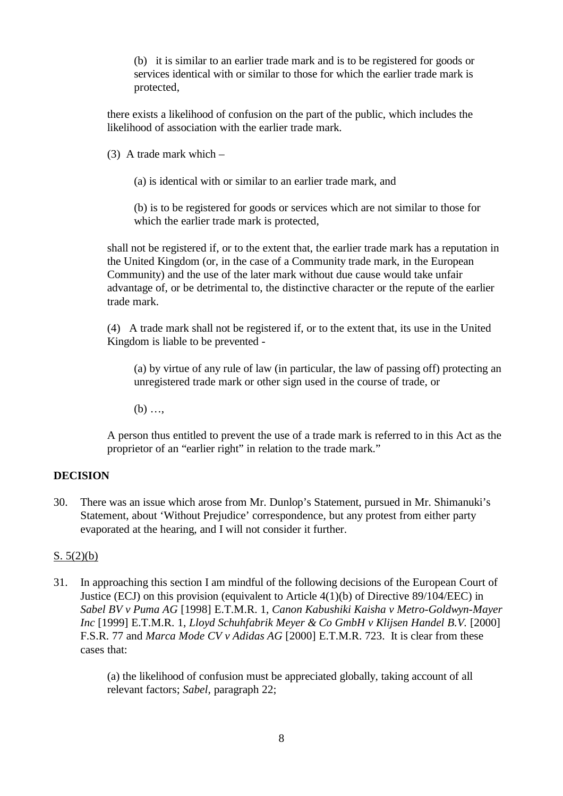(b) it is similar to an earlier trade mark and is to be registered for goods or services identical with or similar to those for which the earlier trade mark is protected,

there exists a likelihood of confusion on the part of the public, which includes the likelihood of association with the earlier trade mark.

(3) A trade mark which –

(a) is identical with or similar to an earlier trade mark, and

(b) is to be registered for goods or services which are not similar to those for which the earlier trade mark is protected,

shall not be registered if, or to the extent that, the earlier trade mark has a reputation in the United Kingdom (or, in the case of a Community trade mark, in the European Community) and the use of the later mark without due cause would take unfair advantage of, or be detrimental to, the distinctive character or the repute of the earlier trade mark.

(4) A trade mark shall not be registered if, or to the extent that, its use in the United Kingdom is liable to be prevented -

(a) by virtue of any rule of law (in particular, the law of passing off) protecting an unregistered trade mark or other sign used in the course of trade, or

 $(b)$  ...

A person thus entitled to prevent the use of a trade mark is referred to in this Act as the proprietor of an "earlier right" in relation to the trade mark."

## **DECISION**

30. There was an issue which arose from Mr. Dunlop's Statement, pursued in Mr. Shimanuki's Statement, about 'Without Prejudice' correspondence, but any protest from either party evaporated at the hearing, and I will not consider it further.

#### S. 5(2)(b)

31. In approaching this section I am mindful of the following decisions of the European Court of Justice (ECJ) on this provision (equivalent to Article 4(1)(b) of Directive 89/104/EEC) in *Sabel BV v Puma AG* [1998] E.T.M.R. 1, *Canon Kabushiki Kaisha v Metro-Goldwyn-Mayer Inc* [1999] E.T.M.R. 1, *Lloyd Schuhfabrik Meyer & Co GmbH v Klijsen Handel B.V.* [2000] F.S.R. 77 and *Marca Mode CV v Adidas AG* [2000] E.T.M.R. 723. It is clear from these cases that:

> (a) the likelihood of confusion must be appreciated globally, taking account of all relevant factors; *Sabel,* paragraph 22;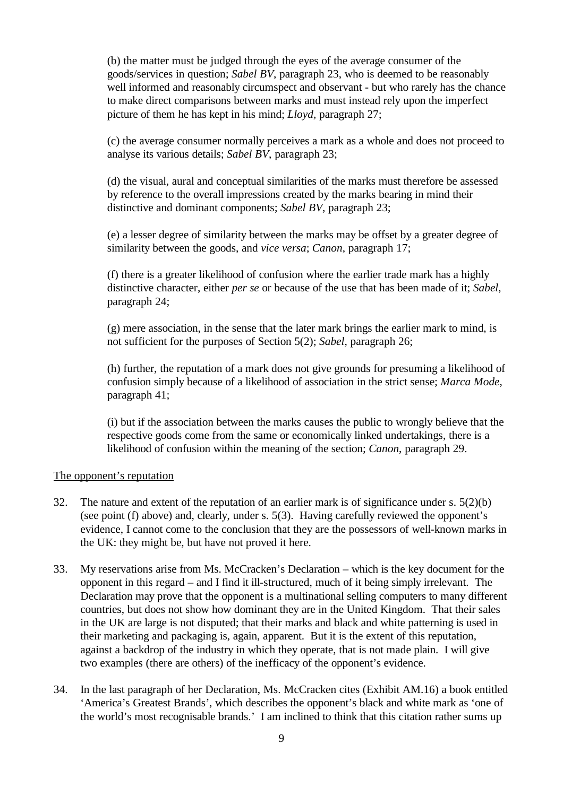(b) the matter must be judged through the eyes of the average consumer of the goods/services in question; *Sabel BV*, paragraph 23, who is deemed to be reasonably well informed and reasonably circumspect and observant - but who rarely has the chance to make direct comparisons between marks and must instead rely upon the imperfect picture of them he has kept in his mind; *Lloyd,* paragraph 27;

(c) the average consumer normally perceives a mark as a whole and does not proceed to analyse its various details; *Sabel BV*, paragraph 23;

(d) the visual, aural and conceptual similarities of the marks must therefore be assessed by reference to the overall impressions created by the marks bearing in mind their distinctive and dominant components; *Sabel BV*, paragraph 23;

(e) a lesser degree of similarity between the marks may be offset by a greater degree of similarity between the goods, and *vice versa*; *Canon*, paragraph 17;

(f) there is a greater likelihood of confusion where the earlier trade mark has a highly distinctive character, either *per se* or because of the use that has been made of it; *Sabel*, paragraph 24;

(g) mere association, in the sense that the later mark brings the earlier mark to mind, is not sufficient for the purposes of Section 5(2); *Sabel*, paragraph 26;

(h) further, the reputation of a mark does not give grounds for presuming a likelihood of confusion simply because of a likelihood of association in the strict sense; *Marca Mode*, paragraph 41;

(i) but if the association between the marks causes the public to wrongly believe that the respective goods come from the same or economically linked undertakings, there is a likelihood of confusion within the meaning of the section; *Canon*, paragraph 29.

#### The opponent's reputation

- 32. The nature and extent of the reputation of an earlier mark is of significance under s. 5(2)(b) (see point (f) above) and, clearly, under s. 5(3). Having carefully reviewed the opponent's evidence, I cannot come to the conclusion that they are the possessors of well-known marks in the UK: they might be, but have not proved it here.
- 33. My reservations arise from Ms. McCracken's Declaration which is the key document for the opponent in this regard – and I find it ill-structured, much of it being simply irrelevant. The Declaration may prove that the opponent is a multinational selling computers to many different countries, but does not show how dominant they are in the United Kingdom. That their sales in the UK are large is not disputed; that their marks and black and white patterning is used in their marketing and packaging is, again, apparent. But it is the extent of this reputation, against a backdrop of the industry in which they operate, that is not made plain. I will give two examples (there are others) of the inefficacy of the opponent's evidence.
- 34. In the last paragraph of her Declaration, Ms. McCracken cites (Exhibit AM.16) a book entitled 'America's Greatest Brands', which describes the opponent's black and white mark as 'one of the world's most recognisable brands.' I am inclined to think that this citation rather sums up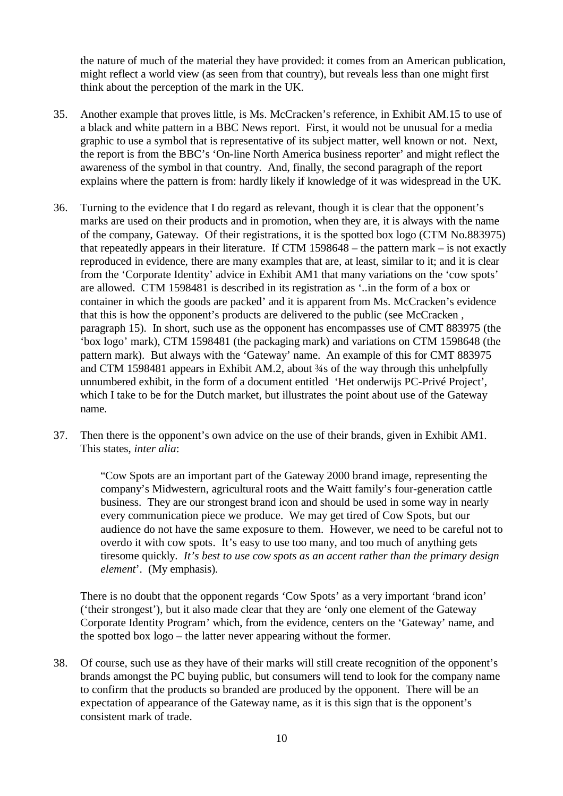the nature of much of the material they have provided: it comes from an American publication, might reflect a world view (as seen from that country), but reveals less than one might first think about the perception of the mark in the UK.

- 35. Another example that proves little, is Ms. McCracken's reference, in Exhibit AM.15 to use of a black and white pattern in a BBC News report. First, it would not be unusual for a media graphic to use a symbol that is representative of its subject matter, well known or not. Next, the report is from the BBC's 'On-line North America business reporter' and might reflect the awareness of the symbol in that country. And, finally, the second paragraph of the report explains where the pattern is from: hardly likely if knowledge of it was widespread in the UK.
- 36. Turning to the evidence that I do regard as relevant, though it is clear that the opponent's marks are used on their products and in promotion, when they are, it is always with the name of the company, Gateway. Of their registrations, it is the spotted box logo (CTM No.883975) that repeatedly appears in their literature. If CTM 1598648 – the pattern mark – is not exactly reproduced in evidence, there are many examples that are, at least, similar to it; and it is clear from the 'Corporate Identity' advice in Exhibit AM1 that many variations on the 'cow spots' are allowed. CTM 1598481 is described in its registration as '..in the form of a box or container in which the goods are packed' and it is apparent from Ms. McCracken's evidence that this is how the opponent's products are delivered to the public (see McCracken , paragraph 15). In short, such use as the opponent has encompasses use of CMT 883975 (the 'box logo' mark), CTM 1598481 (the packaging mark) and variations on CTM 1598648 (the pattern mark). But always with the 'Gateway' name. An example of this for CMT 883975 and CTM 1598481 appears in Exhibit AM.2, about ¾s of the way through this unhelpfully unnumbered exhibit, in the form of a document entitled 'Het onderwijs PC-Privé Project', which I take to be for the Dutch market, but illustrates the point about use of the Gateway name.
- 37. Then there is the opponent's own advice on the use of their brands, given in Exhibit AM1. This states, *inter alia*:

"Cow Spots are an important part of the Gateway 2000 brand image, representing the company's Midwestern, agricultural roots and the Waitt family's four-generation cattle business. They are our strongest brand icon and should be used in some way in nearly every communication piece we produce. We may get tired of Cow Spots, but our audience do not have the same exposure to them. However, we need to be careful not to overdo it with cow spots. It's easy to use too many, and too much of anything gets tiresome quickly. *It's best to use cow spots as an accent rather than the primary design element*'. (My emphasis).

There is no doubt that the opponent regards 'Cow Spots' as a very important 'brand icon' ('their strongest'), but it also made clear that they are 'only one element of the Gateway Corporate Identity Program' which, from the evidence, centers on the 'Gateway' name, and the spotted box logo – the latter never appearing without the former.

38. Of course, such use as they have of their marks will still create recognition of the opponent's brands amongst the PC buying public, but consumers will tend to look for the company name to confirm that the products so branded are produced by the opponent. There will be an expectation of appearance of the Gateway name, as it is this sign that is the opponent's consistent mark of trade.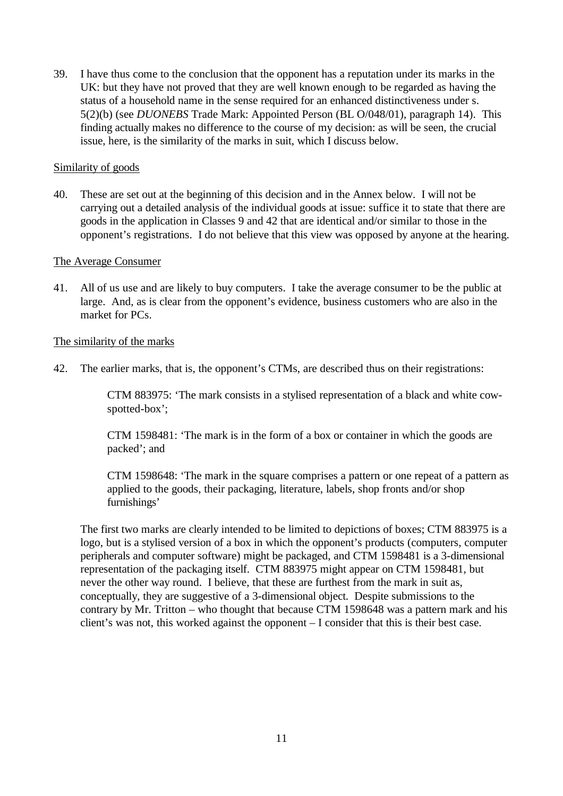39. I have thus come to the conclusion that the opponent has a reputation under its marks in the UK: but they have not proved that they are well known enough to be regarded as having the status of a household name in the sense required for an enhanced distinctiveness under s. 5(2)(b) (see *DUONEBS* Trade Mark: Appointed Person (BL O/048/01), paragraph 14). This finding actually makes no difference to the course of my decision: as will be seen, the crucial issue, here, is the similarity of the marks in suit, which I discuss below.

#### Similarity of goods

40. These are set out at the beginning of this decision and in the Annex below. I will not be carrying out a detailed analysis of the individual goods at issue: suffice it to state that there are goods in the application in Classes 9 and 42 that are identical and/or similar to those in the opponent's registrations. I do not believe that this view was opposed by anyone at the hearing.

#### The Average Consumer

41. All of us use and are likely to buy computers. I take the average consumer to be the public at large. And, as is clear from the opponent's evidence, business customers who are also in the market for PCs.

#### The similarity of the marks

42. The earlier marks, that is, the opponent's CTMs, are described thus on their registrations:

CTM 883975: 'The mark consists in a stylised representation of a black and white cowspotted-box';

CTM 1598481: 'The mark is in the form of a box or container in which the goods are packed'; and

CTM 1598648: 'The mark in the square comprises a pattern or one repeat of a pattern as applied to the goods, their packaging, literature, labels, shop fronts and/or shop furnishings'

The first two marks are clearly intended to be limited to depictions of boxes; CTM 883975 is a logo, but is a stylised version of a box in which the opponent's products (computers, computer peripherals and computer software) might be packaged, and CTM 1598481 is a 3-dimensional representation of the packaging itself. CTM 883975 might appear on CTM 1598481, but never the other way round. I believe, that these are furthest from the mark in suit as, conceptually, they are suggestive of a 3-dimensional object. Despite submissions to the contrary by Mr. Tritton – who thought that because CTM 1598648 was a pattern mark and his client's was not, this worked against the opponent – I consider that this is their best case.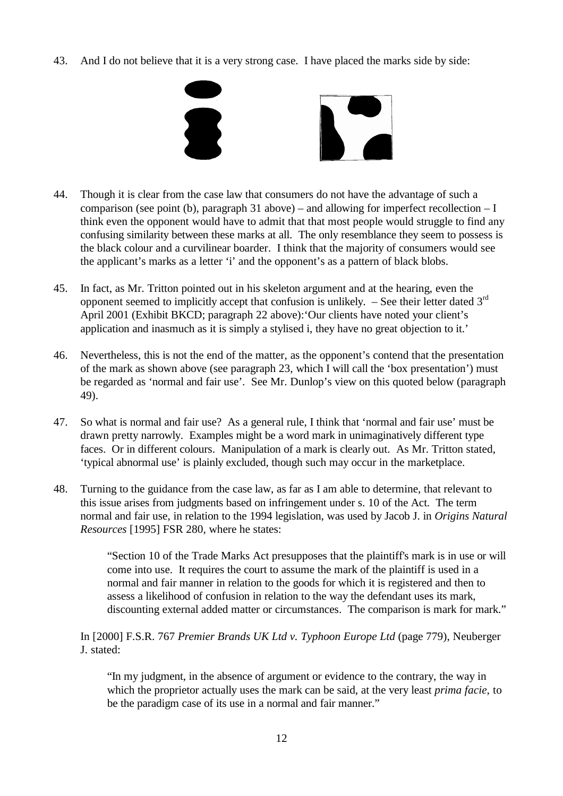43. And I do not believe that it is a very strong case. I have placed the marks side by side:



- 44. Though it is clear from the case law that consumers do not have the advantage of such a comparison (see point (b), paragraph 31 above) – and allowing for imperfect recollection – I think even the opponent would have to admit that that most people would struggle to find any confusing similarity between these marks at all. The only resemblance they seem to possess is the black colour and a curvilinear boarder. I think that the majority of consumers would see the applicant's marks as a letter 'i' and the opponent's as a pattern of black blobs.
- 45. In fact, as Mr. Tritton pointed out in his skeleton argument and at the hearing, even the opponent seemed to implicitly accept that confusion is unlikely.  $-$  See their letter dated  $3<sup>rd</sup>$ April 2001 (Exhibit BKCD; paragraph 22 above):'Our clients have noted your client's application and inasmuch as it is simply a stylised i, they have no great objection to it.'
- 46. Nevertheless, this is not the end of the matter, as the opponent's contend that the presentation of the mark as shown above (see paragraph 23, which I will call the 'box presentation') must be regarded as 'normal and fair use'. See Mr. Dunlop's view on this quoted below (paragraph 49).
- 47. So what is normal and fair use? As a general rule, I think that 'normal and fair use' must be drawn pretty narrowly. Examples might be a word mark in unimaginatively different type faces. Or in different colours. Manipulation of a mark is clearly out. As Mr. Tritton stated, 'typical abnormal use' is plainly excluded, though such may occur in the marketplace.
- 48. Turning to the guidance from the case law, as far as I am able to determine, that relevant to this issue arises from judgments based on infringement under s. 10 of the Act. The term normal and fair use, in relation to the 1994 legislation, was used by Jacob J. in *Origins Natural Resources* [1995] FSR 280, where he states:

"Section 10 of the Trade Marks Act presupposes that the plaintiff's mark is in use or will come into use. It requires the court to assume the mark of the plaintiff is used in a normal and fair manner in relation to the goods for which it is registered and then to assess a likelihood of confusion in relation to the way the defendant uses its mark, discounting external added matter or circumstances. The comparison is mark for mark."

## In [2000] F.S.R. 767 *Premier Brands UK Ltd v. Typhoon Europe Ltd* (page 779), Neuberger J. stated:

"In my judgment, in the absence of argument or evidence to the contrary, the way in which the proprietor actually uses the mark can be said, at the very least *prima facie*, to be the paradigm case of its use in a normal and fair manner."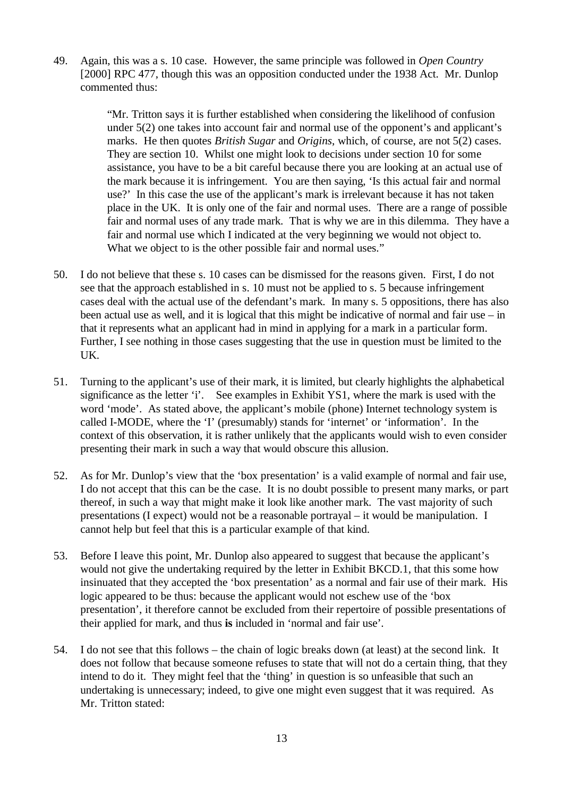49. Again, this was a s. 10 case. However, the same principle was followed in *Open Country* [2000] RPC 477, though this was an opposition conducted under the 1938 Act. Mr. Dunlop commented thus:

> "Mr. Tritton says it is further established when considering the likelihood of confusion under 5(2) one takes into account fair and normal use of the opponent's and applicant's marks. He then quotes *British Sugar* and *Origins*, which, of course, are not 5(2) cases. They are section 10. Whilst one might look to decisions under section 10 for some assistance, you have to be a bit careful because there you are looking at an actual use of the mark because it is infringement. You are then saying, 'Is this actual fair and normal use?' In this case the use of the applicant's mark is irrelevant because it has not taken place in the UK. It is only one of the fair and normal uses. There are a range of possible fair and normal uses of any trade mark. That is why we are in this dilemma. They have a fair and normal use which I indicated at the very beginning we would not object to. What we object to is the other possible fair and normal uses."

- 50. I do not believe that these s. 10 cases can be dismissed for the reasons given. First, I do not see that the approach established in s. 10 must not be applied to s. 5 because infringement cases deal with the actual use of the defendant's mark. In many s. 5 oppositions, there has also been actual use as well, and it is logical that this might be indicative of normal and fair use – in that it represents what an applicant had in mind in applying for a mark in a particular form. Further, I see nothing in those cases suggesting that the use in question must be limited to the UK.
- 51. Turning to the applicant's use of their mark, it is limited, but clearly highlights the alphabetical significance as the letter 'i'. See examples in Exhibit YS1, where the mark is used with the word 'mode'. As stated above, the applicant's mobile (phone) Internet technology system is called I-MODE, where the 'I' (presumably) stands for 'internet' or 'information'. In the context of this observation, it is rather unlikely that the applicants would wish to even consider presenting their mark in such a way that would obscure this allusion.
- 52. As for Mr. Dunlop's view that the 'box presentation' is a valid example of normal and fair use, I do not accept that this can be the case. It is no doubt possible to present many marks, or part thereof, in such a way that might make it look like another mark. The vast majority of such presentations (I expect) would not be a reasonable portrayal – it would be manipulation. I cannot help but feel that this is a particular example of that kind.
- 53. Before I leave this point, Mr. Dunlop also appeared to suggest that because the applicant's would not give the undertaking required by the letter in Exhibit BKCD.1, that this some how insinuated that they accepted the 'box presentation' as a normal and fair use of their mark. His logic appeared to be thus: because the applicant would not eschew use of the 'box presentation', it therefore cannot be excluded from their repertoire of possible presentations of their applied for mark, and thus **is** included in 'normal and fair use'.
- 54. I do not see that this follows the chain of logic breaks down (at least) at the second link. It does not follow that because someone refuses to state that will not do a certain thing, that they intend to do it. They might feel that the 'thing' in question is so unfeasible that such an undertaking is unnecessary; indeed, to give one might even suggest that it was required. As Mr. Tritton stated: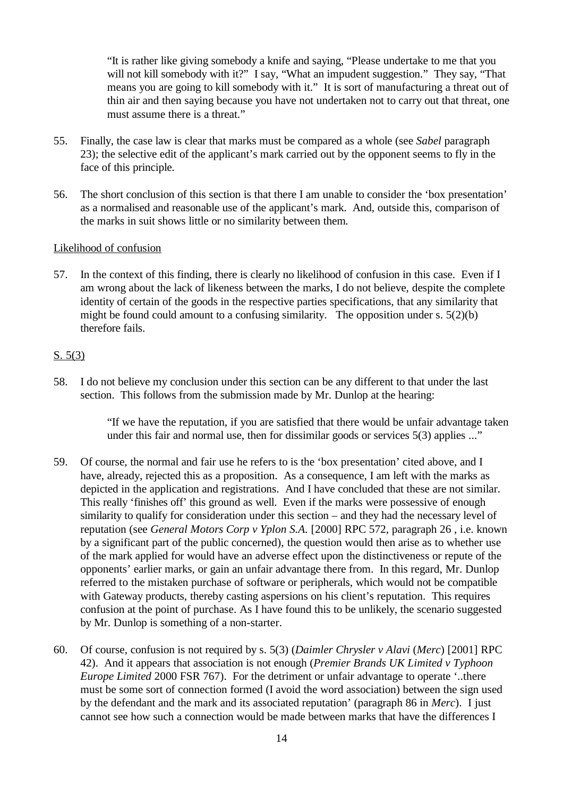"It is rather like giving somebody a knife and saying, "Please undertake to me that you will not kill somebody with it?" I say, "What an impudent suggestion." They say, "That means you are going to kill somebody with it." It is sort of manufacturing a threat out of thin air and then saying because you have not undertaken not to carry out that threat, one must assume there is a threat."

- 55. Finally, the case law is clear that marks must be compared as a whole (see *Sabel* paragraph 23); the selective edit of the applicant's mark carried out by the opponent seems to fly in the face of this principle.
- 56. The short conclusion of this section is that there I am unable to consider the 'box presentation' as a normalised and reasonable use of the applicant's mark. And, outside this, comparison of the marks in suit shows little or no similarity between them.

#### Likelihood of confusion

57. In the context of this finding, there is clearly no likelihood of confusion in this case. Even if I am wrong about the lack of likeness between the marks, I do not believe, despite the complete identity of certain of the goods in the respective parties specifications, that any similarity that might be found could amount to a confusing similarity. The opposition under s. 5(2)(b) therefore fails.

## S. 5(3)

58. I do not believe my conclusion under this section can be any different to that under the last section. This follows from the submission made by Mr. Dunlop at the hearing:

> "If we have the reputation, if you are satisfied that there would be unfair advantage taken under this fair and normal use, then for dissimilar goods or services 5(3) applies ..."

- 59. Of course, the normal and fair use he refers to is the 'box presentation' cited above, and I have, already, rejected this as a proposition. As a consequence, I am left with the marks as depicted in the application and registrations. And I have concluded that these are not similar. This really 'finishes off' this ground as well. Even if the marks were possessive of enough similarity to qualify for consideration under this section – and they had the necessary level of reputation (see *General Motors Corp v Yplon S.A.* [2000] RPC 572, paragraph 26 , i.e. known by a significant part of the public concerned), the question would then arise as to whether use of the mark applied for would have an adverse effect upon the distinctiveness or repute of the opponents' earlier marks, or gain an unfair advantage there from. In this regard, Mr. Dunlop referred to the mistaken purchase of software or peripherals, which would not be compatible with Gateway products, thereby casting aspersions on his client's reputation. This requires confusion at the point of purchase. As I have found this to be unlikely, the scenario suggested by Mr. Dunlop is something of a non-starter.
- 60. Of course, confusion is not required by s. 5(3) (*Daimler Chrysler v Alavi* (*Merc*) [2001] RPC 42). And it appears that association is not enough (*Premier Brands UK Limited v Typhoon Europe Limited* 2000 FSR 767). For the detriment or unfair advantage to operate '..there must be some sort of connection formed (I avoid the word association) between the sign used by the defendant and the mark and its associated reputation' (paragraph 86 in *Merc*). I just cannot see how such a connection would be made between marks that have the differences I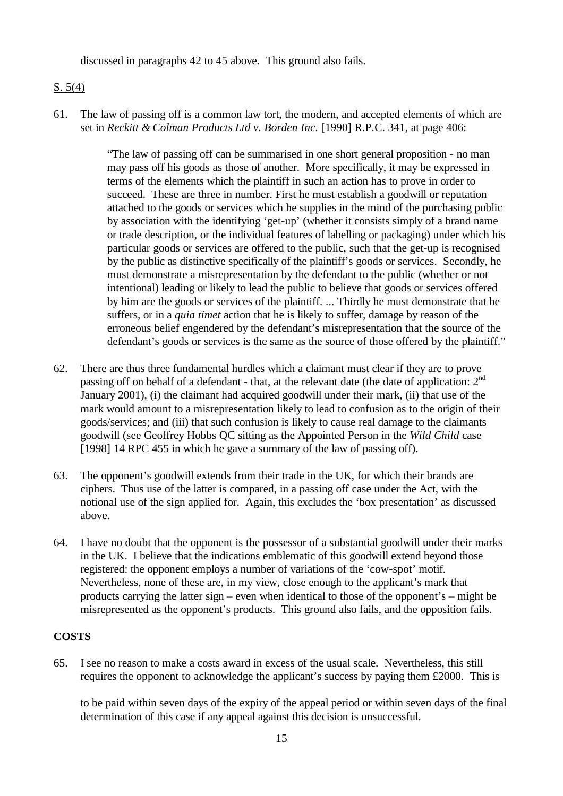discussed in paragraphs 42 to 45 above. This ground also fails.

## S. 5(4)

61. The law of passing off is a common law tort, the modern, and accepted elements of which are set in *Reckitt & Colman Products Ltd v. Borden Inc*. [1990] R.P.C. 341, at page 406:

> "The law of passing off can be summarised in one short general proposition - no man may pass off his goods as those of another. More specifically, it may be expressed in terms of the elements which the plaintiff in such an action has to prove in order to succeed. These are three in number. First he must establish a goodwill or reputation attached to the goods or services which he supplies in the mind of the purchasing public by association with the identifying 'get-up' (whether it consists simply of a brand name or trade description, or the individual features of labelling or packaging) under which his particular goods or services are offered to the public, such that the get-up is recognised by the public as distinctive specifically of the plaintiff's goods or services. Secondly, he must demonstrate a misrepresentation by the defendant to the public (whether or not intentional) leading or likely to lead the public to believe that goods or services offered by him are the goods or services of the plaintiff. ... Thirdly he must demonstrate that he suffers, or in a *quia timet* action that he is likely to suffer, damage by reason of the erroneous belief engendered by the defendant's misrepresentation that the source of the defendant's goods or services is the same as the source of those offered by the plaintiff."

- 62. There are thus three fundamental hurdles which a claimant must clear if they are to prove passing off on behalf of a defendant - that, at the relevant date (the date of application:  $2<sup>nd</sup>$ January 2001), (i) the claimant had acquired goodwill under their mark, (ii) that use of the mark would amount to a misrepresentation likely to lead to confusion as to the origin of their goods/services; and (iii) that such confusion is likely to cause real damage to the claimants goodwill (see Geoffrey Hobbs QC sitting as the Appointed Person in the *Wild Child* case [1998] 14 RPC 455 in which he gave a summary of the law of passing off).
- 63. The opponent's goodwill extends from their trade in the UK, for which their brands are ciphers. Thus use of the latter is compared, in a passing off case under the Act, with the notional use of the sign applied for. Again, this excludes the 'box presentation' as discussed above.
- 64. I have no doubt that the opponent is the possessor of a substantial goodwill under their marks in the UK. I believe that the indications emblematic of this goodwill extend beyond those registered: the opponent employs a number of variations of the 'cow-spot' motif. Nevertheless, none of these are, in my view, close enough to the applicant's mark that products carrying the latter sign – even when identical to those of the opponent's – might be misrepresented as the opponent's products. This ground also fails, and the opposition fails.

## **COSTS**

65. I see no reason to make a costs award in excess of the usual scale. Nevertheless, this still requires the opponent to acknowledge the applicant's success by paying them £2000. This is

to be paid within seven days of the expiry of the appeal period or within seven days of the final determination of this case if any appeal against this decision is unsuccessful.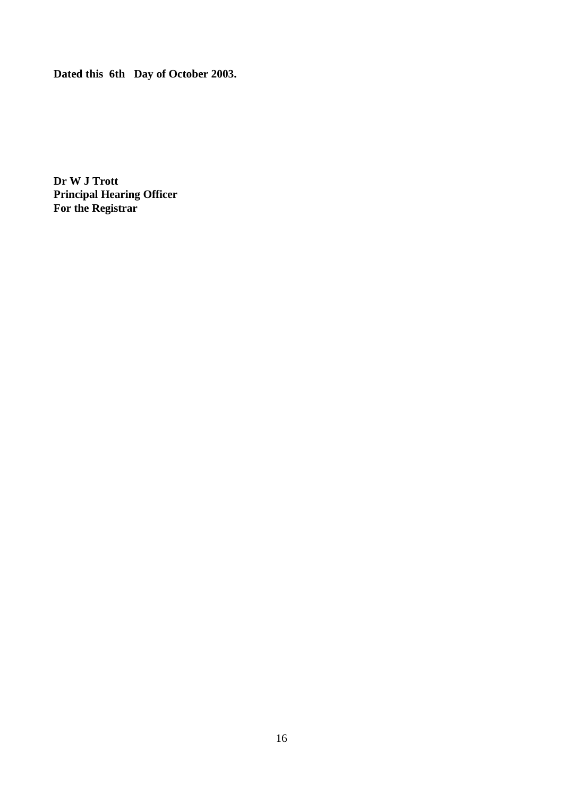**Dated this 6th Day of October 2003.**

**Dr W J Trott Principal Hearing Officer For the Registrar**